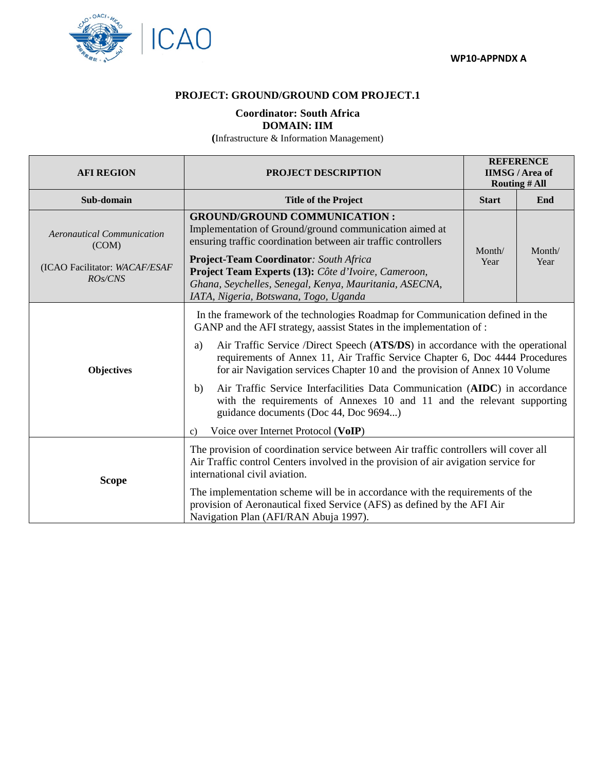

## **PROJECT: GROUND/GROUND COM PROJECT.1**

## **Coordinator: South Africa DOMAIN: IIM**

**(**Infrastructure & Information Management)

| <b>AFI REGION</b>                                                               | <b>PROJECT DESCRIPTION</b>                                                                                                                                                                                                                                                                                                                                                                                                                                                                                                                                                                                           |                      | <b>REFERENCE</b><br><b>IIMSG</b> / Area of |  |  |
|---------------------------------------------------------------------------------|----------------------------------------------------------------------------------------------------------------------------------------------------------------------------------------------------------------------------------------------------------------------------------------------------------------------------------------------------------------------------------------------------------------------------------------------------------------------------------------------------------------------------------------------------------------------------------------------------------------------|----------------------|--------------------------------------------|--|--|
|                                                                                 |                                                                                                                                                                                                                                                                                                                                                                                                                                                                                                                                                                                                                      | <b>Routing # All</b> |                                            |  |  |
| Sub-domain                                                                      | <b>Title of the Project</b>                                                                                                                                                                                                                                                                                                                                                                                                                                                                                                                                                                                          | <b>Start</b>         | End                                        |  |  |
| Aeronautical Communication<br>(COM)<br>(ICAO Facilitator: WACAF/ESAF<br>ROs/CNS | <b>GROUND/GROUND COMMUNICATION:</b><br>Implementation of Ground/ground communication aimed at<br>ensuring traffic coordination between air traffic controllers<br><b>Project-Team Coordinator:</b> South Africa<br>Project Team Experts (13): Côte d'Ivoire, Cameroon,<br>Ghana, Seychelles, Senegal, Kenya, Mauritania, ASECNA,<br>IATA, Nigeria, Botswana, Togo, Uganda                                                                                                                                                                                                                                            |                      | Month/<br>Year                             |  |  |
| <b>Objectives</b>                                                               | In the framework of the technologies Roadmap for Communication defined in the<br>GANP and the AFI strategy, aassist States in the implementation of :<br>Air Traffic Service /Direct Speech (ATS/DS) in accordance with the operational<br>a)<br>requirements of Annex 11, Air Traffic Service Chapter 6, Doc 4444 Procedures<br>for air Navigation services Chapter 10 and the provision of Annex 10 Volume<br>Air Traffic Service Interfacilities Data Communication (AIDC) in accordance<br>b)<br>with the requirements of Annexes 10 and 11 and the relevant supporting<br>guidance documents (Doc 44, Doc 9694) |                      |                                            |  |  |
|                                                                                 | Voice over Internet Protocol (VoIP)<br>$\mathbf{c}$                                                                                                                                                                                                                                                                                                                                                                                                                                                                                                                                                                  |                      |                                            |  |  |
| <b>Scope</b>                                                                    | The provision of coordination service between Air traffic controllers will cover all<br>Air Traffic control Centers involved in the provision of air avigation service for<br>international civil aviation.<br>The implementation scheme will be in accordance with the requirements of the<br>provision of Aeronautical fixed Service (AFS) as defined by the AFI Air                                                                                                                                                                                                                                               |                      |                                            |  |  |
|                                                                                 | Navigation Plan (AFI/RAN Abuja 1997).                                                                                                                                                                                                                                                                                                                                                                                                                                                                                                                                                                                |                      |                                            |  |  |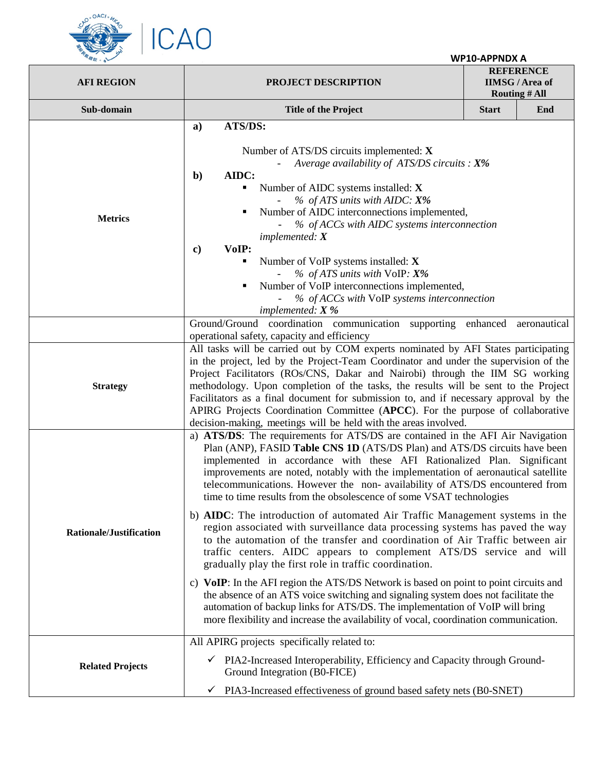

**WP10-APPNDX A**

| <b>AFI REGION</b>              | <b>REFERENCE</b><br><b>IIMSG / Area of</b><br><b>PROJECT DESCRIPTION</b><br><b>Routing # All</b>                                                                                                                                                                                                                                                                                                                                                                                                                                                                                                                                             |              |              |  |  |
|--------------------------------|----------------------------------------------------------------------------------------------------------------------------------------------------------------------------------------------------------------------------------------------------------------------------------------------------------------------------------------------------------------------------------------------------------------------------------------------------------------------------------------------------------------------------------------------------------------------------------------------------------------------------------------------|--------------|--------------|--|--|
| Sub-domain                     | <b>Title of the Project</b>                                                                                                                                                                                                                                                                                                                                                                                                                                                                                                                                                                                                                  | <b>Start</b> | End          |  |  |
| <b>Metrics</b>                 | ATS/DS:<br>a)<br>Number of ATS/DS circuits implemented: X<br>Average availability of ATS/DS circuits : $X\%$<br>AIDC:<br>$\mathbf{b}$<br>Number of AIDC systems installed: X<br>% of ATS units with AIDC: X%<br>Number of AIDC interconnections implemented,<br>% of ACCs with AIDC systems interconnection<br>implemented: $X$<br>VoIP:<br>$\bf c)$<br>Number of VoIP systems installed: X<br>$%$ of ATS units with VoIP: $X\%$<br>Number of VoIP interconnections implemented,<br>٠<br>% of ACCs with VoIP systems interconnection<br>implemented: $X$ %                                                                                   |              |              |  |  |
|                                | Ground/Ground coordination communication supporting enhanced                                                                                                                                                                                                                                                                                                                                                                                                                                                                                                                                                                                 |              | aeronautical |  |  |
| <b>Strategy</b>                | operational safety, capacity and efficiency<br>All tasks will be carried out by COM experts nominated by AFI States participating<br>in the project, led by the Project-Team Coordinator and under the supervision of the<br>Project Facilitators (ROs/CNS, Dakar and Nairobi) through the IIM SG working<br>methodology. Upon completion of the tasks, the results will be sent to the Project<br>Facilitators as a final document for submission to, and if necessary approval by the<br>APIRG Projects Coordination Committee (APCC). For the purpose of collaborative<br>decision-making, meetings will be held with the areas involved. |              |              |  |  |
|                                | a) ATS/DS: The requirements for ATS/DS are contained in the AFI Air Navigation<br>Plan (ANP), FASID Table CNS 1D (ATS/DS Plan) and ATS/DS circuits have been<br>implemented in accordance with these AFI Rationalized Plan. Significant<br>improvements are noted, notably with the implementation of aeronautical satellite<br>telecommunications. However the non-availability of ATS/DS encountered from<br>time to time results from the obsolescence of some VSAT technologies<br>b) AIDC: The introduction of automated Air Traffic Management systems in the                                                                          |              |              |  |  |
| <b>Rationale/Justification</b> | region associated with surveillance data processing systems has paved the way<br>to the automation of the transfer and coordination of Air Traffic between air<br>traffic centers. AIDC appears to complement ATS/DS service and will<br>gradually play the first role in traffic coordination.                                                                                                                                                                                                                                                                                                                                              |              |              |  |  |
|                                | c) VoIP: In the AFI region the ATS/DS Network is based on point to point circuits and<br>the absence of an ATS voice switching and signaling system does not facilitate the<br>automation of backup links for ATS/DS. The implementation of VoIP will bring<br>more flexibility and increase the availability of vocal, coordination communication.                                                                                                                                                                                                                                                                                          |              |              |  |  |
|                                | All APIRG projects specifically related to:<br>$\checkmark$                                                                                                                                                                                                                                                                                                                                                                                                                                                                                                                                                                                  |              |              |  |  |
| <b>Related Projects</b>        | PIA2-Increased Interoperability, Efficiency and Capacity through Ground-<br>Ground Integration (B0-FICE)<br>PIA3-Increased effectiveness of ground based safety nets (B0-SNET)<br>$\checkmark$                                                                                                                                                                                                                                                                                                                                                                                                                                               |              |              |  |  |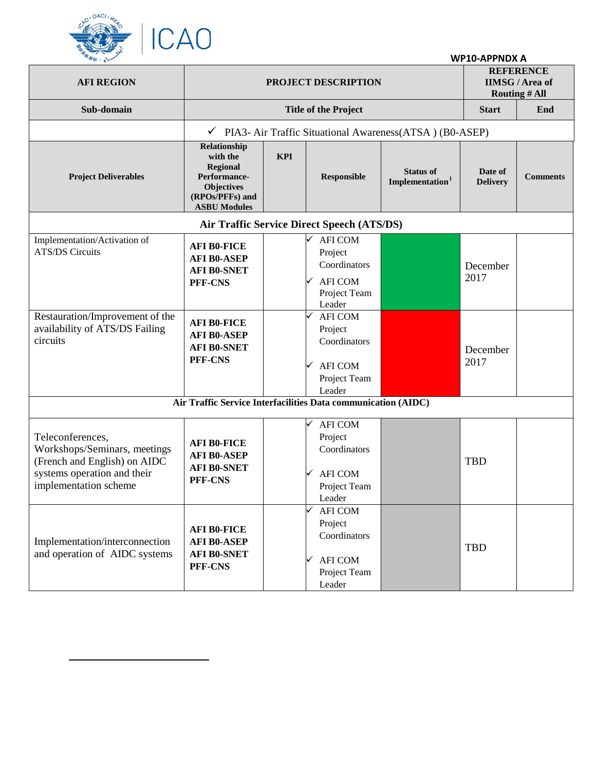

 $\overline{a}$ 

|  |  | <b>WP10-APPNDX A</b> |  |
|--|--|----------------------|--|
|--|--|----------------------|--|

| <b>AFI REGION</b>                                                                                                                        | PROJECT DESCRIPTION                                                                                                        |            | <b>REFERENCE</b><br><b>IIMSG</b> / Area of<br><b>Routing # All</b>                    |                                                                      |                            |                 |
|------------------------------------------------------------------------------------------------------------------------------------------|----------------------------------------------------------------------------------------------------------------------------|------------|---------------------------------------------------------------------------------------|----------------------------------------------------------------------|----------------------------|-----------------|
| Sub-domain                                                                                                                               |                                                                                                                            |            | <b>Title of the Project</b>                                                           |                                                                      | <b>Start</b>               | End             |
|                                                                                                                                          |                                                                                                                            |            |                                                                                       | $\checkmark$ PIA3- Air Traffic Situational Awareness(ATSA) (B0-ASEP) |                            |                 |
| <b>Project Deliverables</b>                                                                                                              | Relationship<br>with the<br><b>Regional</b><br>Performance-<br><b>Objectives</b><br>(RPOs/PFFs) and<br><b>ASBU Modules</b> | <b>KPI</b> | Responsible                                                                           | <b>Status of</b><br>Implementation <sup>1</sup>                      | Date of<br><b>Delivery</b> | <b>Comments</b> |
|                                                                                                                                          |                                                                                                                            |            | Air Traffic Service Direct Speech (ATS/DS)                                            |                                                                      |                            |                 |
| Implementation/Activation of<br><b>ATS/DS Circuits</b>                                                                                   | <b>AFI B0-FICE</b><br><b>AFI B0-ASEP</b><br><b>AFI B0-SNET</b><br>PFF-CNS                                                  |            | <b>AFI COM</b><br>Project<br>Coordinators<br><b>AFI COM</b><br>Project Team<br>Leader |                                                                      | December<br>2017           |                 |
| Restauration/Improvement of the<br>availability of ATS/DS Failing<br>circuits                                                            | <b>AFI B0-FICE</b><br><b>AFI B0-ASEP</b><br><b>AFI B0-SNET</b><br>PFF-CNS                                                  |            | <b>AFI COM</b><br>Project<br>Coordinators<br><b>AFI COM</b><br>Project Team<br>Leader |                                                                      | December<br>2017           |                 |
|                                                                                                                                          | Air Traffic Service Interfacilities Data communication (AIDC)                                                              |            |                                                                                       |                                                                      |                            |                 |
| Teleconferences,<br>Workshops/Seminars, meetings<br>(French and English) on AIDC<br>systems operation and their<br>implementation scheme | <b>AFI B0-FICE</b><br><b>AFI B0-ASEP</b><br><b>AFI B0-SNET</b><br>PFF-CNS                                                  |            | <b>AFI COM</b><br>Project<br>Coordinators<br><b>AFI COM</b><br>Project Team<br>Leader |                                                                      | <b>TBD</b>                 |                 |
| Implementation/interconnection<br>and operation of AIDC systems                                                                          | <b>AFI B0-FICE</b><br><b>AFI B0-ASEP</b><br><b>AFI B0-SNET</b><br>PFF-CNS                                                  |            | <b>AFI COM</b><br>Project<br>Coordinators<br><b>AFI COM</b><br>Project Team<br>Leader |                                                                      | <b>TBD</b>                 |                 |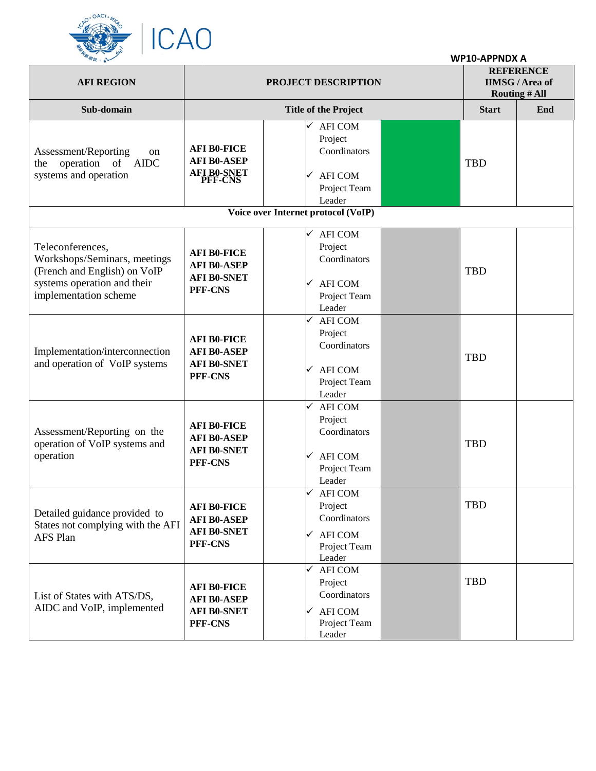

| <b>WP10-APPNDX A</b> |  |  |  |  |
|----------------------|--|--|--|--|
|----------------------|--|--|--|--|

| <b>AFI REGION</b>                                                                                                                        | PROJECT DESCRIPTION                                                       |                                                                                       |              | <b>REFERENCE</b><br><b>IIMSG</b> / Area of<br><b>Routing # All</b> |  |
|------------------------------------------------------------------------------------------------------------------------------------------|---------------------------------------------------------------------------|---------------------------------------------------------------------------------------|--------------|--------------------------------------------------------------------|--|
| Sub-domain                                                                                                                               |                                                                           | <b>Title of the Project</b>                                                           | <b>Start</b> | End                                                                |  |
| Assessment/Reporting<br>on<br>operation of AIDC<br>the<br>systems and operation                                                          | <b>AFI B0-FICE</b><br><b>AFI B0-ASEP</b><br><b>AFI BO-SNET</b><br>PFF-CNS | <b>AFI COM</b><br>Project<br>Coordinators<br><b>AFI COM</b><br>Project Team<br>Leader | <b>TBD</b>   |                                                                    |  |
|                                                                                                                                          |                                                                           | Voice over Internet protocol (VoIP)                                                   |              |                                                                    |  |
| Teleconferences,<br>Workshops/Seminars, meetings<br>(French and English) on VoIP<br>systems operation and their<br>implementation scheme | <b>AFI B0-FICE</b><br><b>AFI B0-ASEP</b><br><b>AFI B0-SNET</b><br>PFF-CNS | <b>AFI COM</b><br>Project<br>Coordinators<br><b>AFI COM</b><br>Project Team<br>Leader | <b>TBD</b>   |                                                                    |  |
| Implementation/interconnection<br>and operation of VoIP systems                                                                          | <b>AFI B0-FICE</b><br><b>AFI B0-ASEP</b><br><b>AFI B0-SNET</b><br>PFF-CNS | <b>AFI COM</b><br>Project<br>Coordinators<br><b>AFI COM</b><br>Project Team<br>Leader | <b>TBD</b>   |                                                                    |  |
| Assessment/Reporting on the<br>operation of VoIP systems and<br>operation                                                                | <b>AFI B0-FICE</b><br><b>AFI B0-ASEP</b><br><b>AFI B0-SNET</b><br>PFF-CNS | <b>AFI COM</b><br>Project<br>Coordinators<br><b>AFI COM</b><br>Project Team<br>Leader | <b>TBD</b>   |                                                                    |  |
| Detailed guidance provided to<br>States not complying with the AFI<br>AFS Plan                                                           | <b>AFI B0-FICE</b><br><b>AFI B0-ASEP</b><br><b>AFI B0-SNET</b><br>PFF-CNS | <b>AFI COM</b><br>Project<br>Coordinators<br><b>AFI COM</b><br>Project Team<br>Leader | <b>TBD</b>   |                                                                    |  |
| List of States with ATS/DS,<br>AIDC and VoIP, implemented                                                                                | <b>AFI B0-FICE</b><br><b>AFI B0-ASEP</b><br><b>AFI B0-SNET</b><br>PFF-CNS | <b>AFI COM</b><br>Project<br>Coordinators<br><b>AFI COM</b><br>Project Team<br>Leader | <b>TBD</b>   |                                                                    |  |